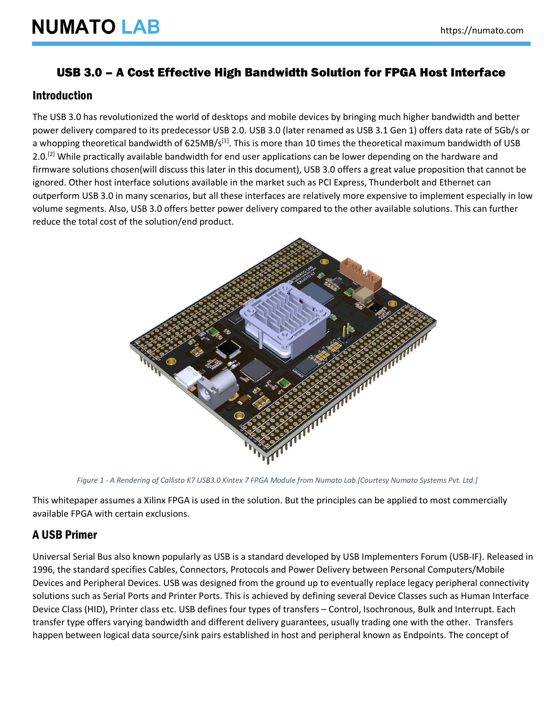## USB 3.0 – A Cost Effective High Bandwidth Solution for FPGA Host Interface

#### Introduction

The USB 3.0 has revolutionized the world of desktops and mobile devices by bringing much higher bandwidth and better power delivery compared to its predecessor USB 2.0. USB 3.0 (later renamed as USB 3.1 Gen 1) offers data rate of 5Gb/s or a whopping theoretical bandwidth of 625MB/s<sup>[1]</sup>. This is more than 10 times the theoretical maximum bandwidth of USB 2.0.<sup>[2]</sup> While practically available bandwidth for end user applications can be lower depending on the hardware and firmware solutions chosen(will discuss this later in this document), USB 3.0 offers a great value proposition that cannot be ignored. Other host interface solutions available in the market such as PCI Express, Thunderbolt and Ethernet can outperform USB 3.0 in many scenarios, but all these interfaces are relatively more expensive to implement especially in low volume segments. Also, USB 3.0 offers better power delivery compared to the other available solutions. This can further reduce the total cost of the solution/end product.



*Figure 1 - A Rendering of Callisto K7 USB3.0 Kintex 7 FPGA Module from Numato Lab [Courtesy Numato Systems Pvt. Ltd.]*

This whitepaper assumes a Xilinx FPGA is used in the solution. But the principles can be applied to most commercially available FPGA with certain exclusions.

#### A USB Primer

Universal Serial Bus also known popularly as USB is a standard developed by USB Implementers Forum (USB-IF). Released in 1996, the standard specifies Cables, Connectors, Protocols and Power Delivery between Personal Computers/Mobile Devices and Peripheral Devices. USB was designed from the ground up to eventually replace legacy peripheral connectivity solutions such as Serial Ports and Printer Ports. This is achieved by defining several Device Classes such as Human Interface Device Class (HID), Printer class etc. USB defines four types of transfers – Control, Isochronous, Bulk and Interrupt. Each transfer type offers varying bandwidth and different delivery guarantees, usually trading one with the other. Transfers happen between logical data source/sink pairs established in host and peripheral known as Endpoints. The concept of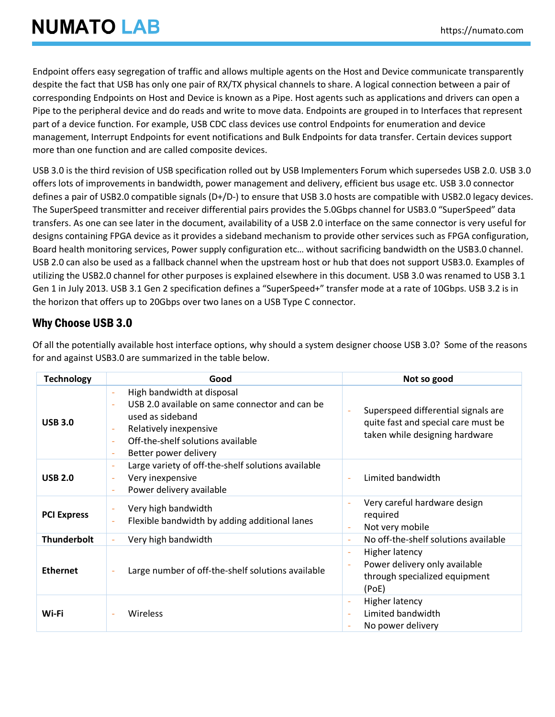Endpoint offers easy segregation of traffic and allows multiple agents on the Host and Device communicate transparently despite the fact that USB has only one pair of RX/TX physical channels to share. A logical connection between a pair of corresponding Endpoints on Host and Device is known as a Pipe. Host agents such as applications and drivers can open a Pipe to the peripheral device and do reads and write to move data. Endpoints are grouped in to Interfaces that represent part of a device function. For example, USB CDC class devices use control Endpoints for enumeration and device management, Interrupt Endpoints for event notifications and Bulk Endpoints for data transfer. Certain devices support more than one function and are called composite devices.

USB 3.0 is the third revision of USB specification rolled out by USB Implementers Forum which supersedes USB 2.0. USB 3.0 offers lots of improvements in bandwidth, power management and delivery, efficient bus usage etc. USB 3.0 connector defines a pair of USB2.0 compatible signals (D+/D-) to ensure that USB 3.0 hosts are compatible with USB2.0 legacy devices. The SuperSpeed transmitter and receiver differential pairs provides the 5.0Gbps channel for USB3.0 "SuperSpeed" data transfers. As one can see later in the document, availability of a USB 2.0 interface on the same connector is very useful for designs containing FPGA device as it provides a sideband mechanism to provide other services such as FPGA configuration, Board health monitoring services, Power supply configuration etc… without sacrificing bandwidth on the USB3.0 channel. USB 2.0 can also be used as a fallback channel when the upstream host or hub that does not support USB3.0. Examples of utilizing the USB2.0 channel for other purposes is explained elsewhere in this document. USB 3.0 was renamed to USB 3.1 Gen 1 in July 2013. USB 3.1 Gen 2 specification defines a "SuperSpeed+" transfer mode at a rate of 10Gbps. USB 3.2 is in the horizon that offers up to 20Gbps over two lanes on a USB Type C connector.

## Why Choose USB 3.0

Of all the potentially available host interface options, why should a system designer choose USB 3.0? Some of the reasons for and against USB3.0 are summarized in the table below.

| <b>Technology</b>  | Good                                                                                                                                                                                                                                                                                    | Not so good                                                                                                                        |
|--------------------|-----------------------------------------------------------------------------------------------------------------------------------------------------------------------------------------------------------------------------------------------------------------------------------------|------------------------------------------------------------------------------------------------------------------------------------|
| <b>USB 3.0</b>     | High bandwidth at disposal<br>$\overline{\phantom{a}}$<br>USB 2.0 available on same connector and can be<br>$\bar{a}$<br>used as sideband<br>Relatively inexpensive<br>$\overline{\phantom{a}}$<br>Off-the-shelf solutions available<br>$\bar{a}$<br>Better power delivery<br>$\bar{a}$ | Superspeed differential signals are<br>quite fast and special care must be<br>taken while designing hardware                       |
| <b>USB 2.0</b>     | Large variety of off-the-shelf solutions available<br>$\overline{\phantom{a}}$<br>Very inexpensive<br>$\overline{\phantom{a}}$<br>Power delivery available                                                                                                                              | Limited bandwidth<br>$\sim$                                                                                                        |
| <b>PCI Express</b> | Very high bandwidth<br>$\overline{\phantom{a}}$<br>Flexible bandwidth by adding additional lanes                                                                                                                                                                                        | Very careful hardware design<br>÷,<br>required<br>Not very mobile<br>$\sim$                                                        |
| <b>Thunderbolt</b> | Very high bandwidth                                                                                                                                                                                                                                                                     | No off-the-shelf solutions available<br>$\sim$                                                                                     |
| <b>Ethernet</b>    | Large number of off-the-shelf solutions available                                                                                                                                                                                                                                       | Higher latency<br>$\overline{\phantom{a}}$<br>Power delivery only available<br>$\bar{a}$<br>through specialized equipment<br>(PoE) |
| Wi-Fi              | Wireless                                                                                                                                                                                                                                                                                | Higher latency<br>$\overline{\phantom{a}}$<br>Limited bandwidth<br>$\overline{\phantom{a}}$<br>No power delivery                   |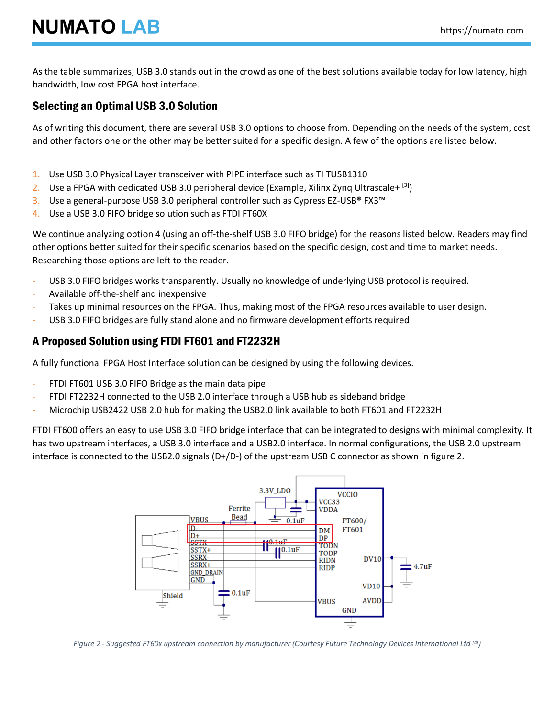As the table summarizes, USB 3.0 stands out in the crowd as one of the best solutions available today for low latency, high bandwidth, low cost FPGA host interface.

### Selecting an Optimal USB 3.0 Solution

As of writing this document, there are several USB 3.0 options to choose from. Depending on the needs of the system, cost and other factors one or the other may be better suited for a specific design. A few of the options are listed below.

- 1. Use USB 3.0 Physical Layer transceiver with PIPE interface such as TI TUSB1310
- 2. Use a FPGA with dedicated USB 3.0 peripheral device (Example, Xilinx Zynq Ultrascale+  $\text{[3]}$ )
- 3. Use a general-purpose USB 3.0 peripheral controller such as Cypress EZ-USB® FX3™
- 4. Use a USB 3.0 FIFO bridge solution such as FTDI FT60X

We continue analyzing option 4 (using an off-the-shelf USB 3.0 FIFO bridge) for the reasons listed below. Readers may find other options better suited for their specific scenarios based on the specific design, cost and time to market needs. Researching those options are left to the reader.

- USB 3.0 FIFO bridges works transparently. Usually no knowledge of underlying USB protocol is required.
- Available off-the-shelf and inexpensive
- Takes up minimal resources on the FPGA. Thus, making most of the FPGA resources available to user design.
- USB 3.0 FIFO bridges are fully stand alone and no firmware development efforts required

#### A Proposed Solution using FTDI FT601 and FT2232H

A fully functional FPGA Host Interface solution can be designed by using the following devices.

- FTDI FT601 USB 3.0 FIFO Bridge as the main data pipe
- FTDI FT2232H connected to the USB 2.0 interface through a USB hub as sideband bridge
- Microchip USB2422 USB 2.0 hub for making the USB2.0 link available to both FT601 and FT2232H

FTDI FT600 offers an easy to use USB 3.0 FIFO bridge interface that can be integrated to designs with minimal complexity. It has two upstream interfaces, a USB 3.0 interface and a USB2.0 interface. In normal configurations, the USB 2.0 upstream interface is connected to the USB2.0 signals (D+/D-) of the upstream USB C connector as shown in figure 2.



*Figure 2 - Suggested FT60x upstream connection by manufacturer (Courtesy Future Technology Devices International Ltd [4])*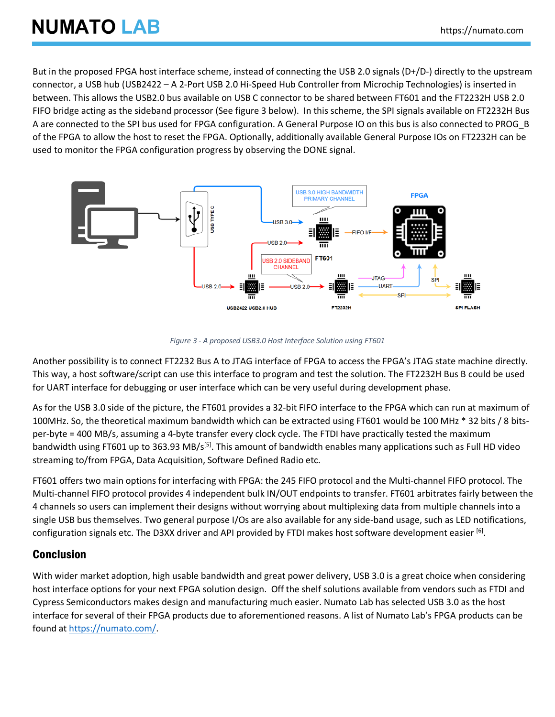# **NUMATO LAB**

But in the proposed FPGA host interface scheme, instead of connecting the USB 2.0 signals (D+/D-) directly to the upstream connector, a USB hub (USB2422 – A 2-Port USB 2.0 Hi-Speed Hub Controller from Microchip Technologies) is inserted in between. This allows the USB2.0 bus available on USB C connector to be shared between FT601 and the FT2232H USB 2.0 FIFO bridge acting as the sideband processor (See figure 3 below). In this scheme, the SPI signals available on FT2232H Bus A are connected to the SPI bus used for FPGA configuration. A General Purpose IO on this bus is also connected to PROG\_B of the FPGA to allow the host to reset the FPGA. Optionally, additionally available General Purpose IOs on FT2232H can be used to monitor the FPGA configuration progress by observing the DONE signal.



*Figure 3 - A proposed USB3.0 Host Interface Solution using FT601*

Another possibility is to connect FT2232 Bus A to JTAG interface of FPGA to access the FPGA's JTAG state machine directly. This way, a host software/script can use this interface to program and test the solution. The FT2232H Bus B could be used for UART interface for debugging or user interface which can be very useful during development phase.

As for the USB 3.0 side of the picture, the FT601 provides a 32-bit FIFO interface to the FPGA which can run at maximum of 100MHz. So, the theoretical maximum bandwidth which can be extracted using FT601 would be 100 MHz \* 32 bits / 8 bitsper-byte = 400 MB/s, assuming a 4-byte transfer every clock cycle. The FTDI have practically tested the maximum bandwidth using FT601 up to 363.93 MB/s<sup>[5]</sup>. This amount of bandwidth enables many applications such as Full HD video streaming to/from FPGA, Data Acquisition, Software Defined Radio etc.

FT601 offers two main options for interfacing with FPGA: the 245 FIFO protocol and the Multi-channel FIFO protocol. The Multi-channel FIFO protocol provides 4 independent bulk IN/OUT endpoints to transfer. FT601 arbitrates fairly between the 4 channels so users can implement their designs without worrying about multiplexing data from multiple channels into a single USB bus themselves. Two general purpose I/Os are also available for any side-band usage, such as LED notifications, configuration signals etc. The D3XX driver and API provided by FTDI makes host software development easier [6].

## Conclusion

With wider market adoption, high usable bandwidth and great power delivery, USB 3.0 is a great choice when considering host interface options for your next FPGA solution design. Off the shelf solutions available from vendors such as FTDI and Cypress Semiconductors makes design and manufacturing much easier. Numato Lab has selected USB 3.0 as the host interface for several of their FPGA products due to aforementioned reasons. A list of Numato Lab's FPGA products can be found at [https://numato.com/.](https://numato.com/)